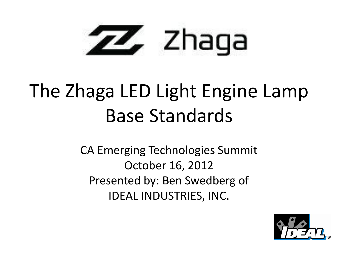

### The Zhaga LED Light Engine Lamp Base Standards

CA Emerging Technologies Summit October 16, 2012 Presented by: Ben Swedberg of IDEAL INDUSTRIES, INC.

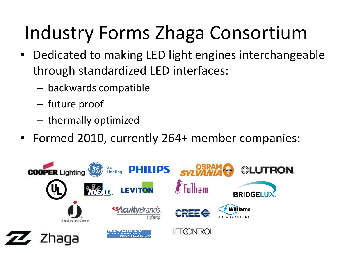# Industry Forms Zhaga Consortium

- Dedicated to making LED light engines interchangeable through standardized LED interfaces:
	- backwards compatible
	- future proof
	- thermally optimized
- Formed 2010, currently 264+ member companies:

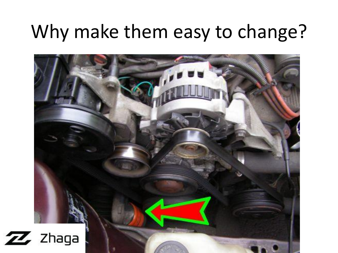#### Why make them easy to change?

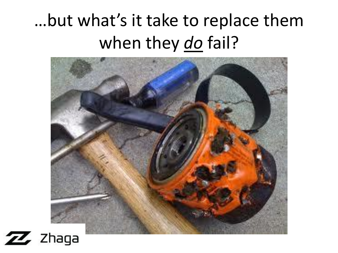#### …but what's it take to replace them when they *do* fail?

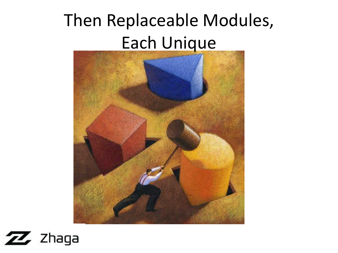#### Then Replaceable Modules, Each Unique



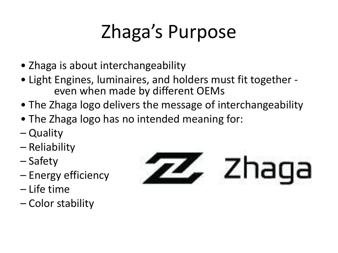# Zhaga's Purpose

- Zhaga is about interchangeability
- Light Engines, luminaires, and holders must fit together even when made by different OEMs
- The Zhaga logo delivers the message of interchangeability
- The Zhaga logo has no intended meaning for:
- Quality
- Reliability
- Safety
- Energy efficiency
- Life time
- Color stability

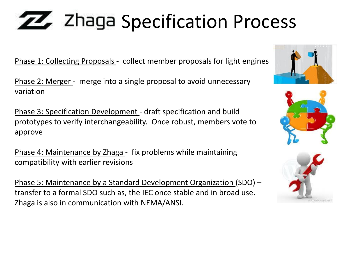# **ZZ** Zhaga Specification Process

Phase 1: Collecting Proposals - collect member proposals for light engines

Phase 2: Merger - merge into a single proposal to avoid unnecessary variation

Phase 3: Specification Development - draft specification and build prototypes to verify interchangeability. Once robust, members vote to approve

Phase 4: Maintenance by Zhaga - fix problems while maintaining compatibility with earlier revisions

Phase 5: Maintenance by a Standard Development Organization (SDO) – transfer to a formal SDO such as, the IEC once stable and in broad use. Zhaga is also in communication with NEMA/ANSI.





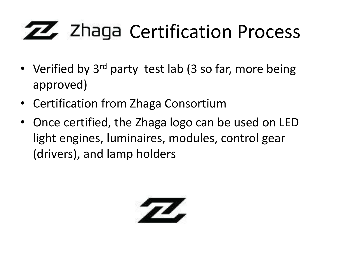# **ZZ** Zhaga Certification Process

- Verified by 3<sup>rd</sup> party test lab (3 so far, more being approved)
- Certification from Zhaga Consortium
- Once certified, the Zhaga logo can be used on LED light engines, luminaires, modules, control gear (drivers), and lamp holders

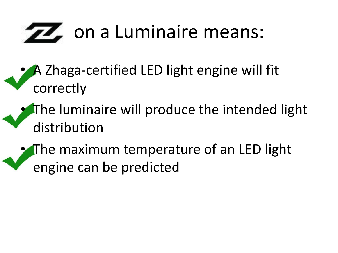# **TA** on a Luminaire means:

- A Zhaga-certified LED light engine will fit correctly
- The luminaire will produce the intended light distribution
- The maximum temperature of an LED light engine can be predicted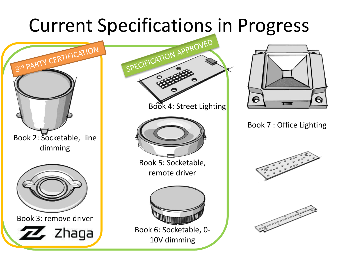# Current Specifications in Progress







Book 7 : Office Lighting



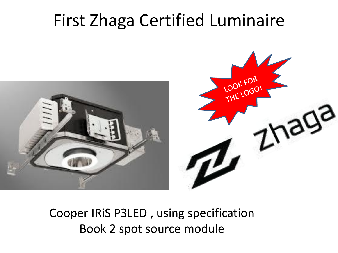#### First Zhaga Certified Luminaire



Cooper IRiS P3LED , using specification Book 2 spot source module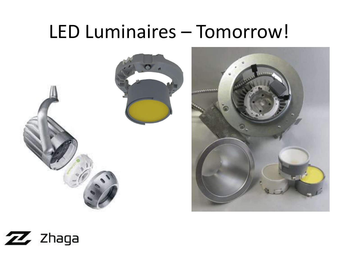#### LED Luminaires – Tomorrow!





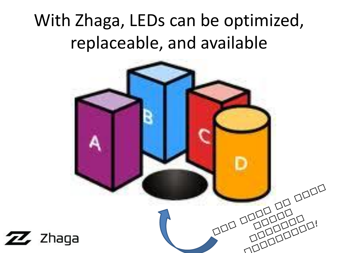#### With Zhaga, LEDs can be optimized, replaceable, and available